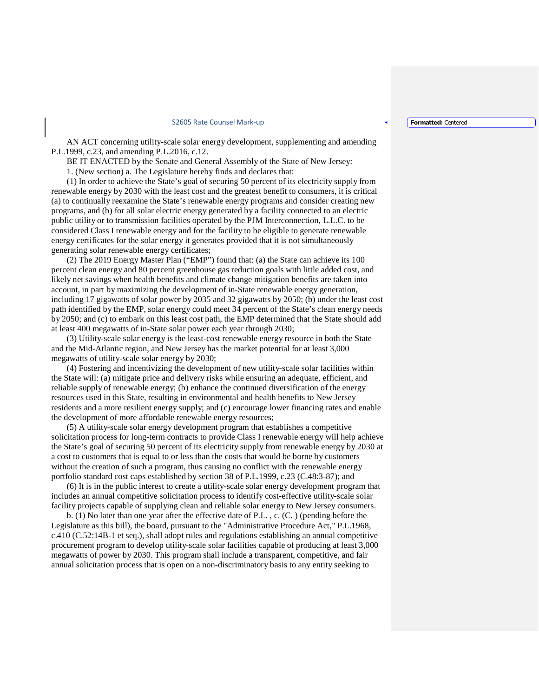## S2605 Rate Counsel Mark-up

**Formatted:** Centered

AN ACT concerning utility-scale solar energy development, supplementing and amending P.L.1999, c.23, and amending P.L.2016, c.12.

BE IT ENACTED by the Senate and General Assembly of the State of New Jersey:

1. (New section) a. The Legislature hereby finds and declares that:

(1) In order to achieve the State's goal of securing 50 percent of its electricity supply from renewable energy by 2030 with the least cost and the greatest benefit to consumers, it is critical (a) to continually reexamine the State's renewable energy programs and consider creating new programs, and (b) for all solar electric energy generated by a facility connected to an electric public utility or to transmission facilities operated by the PJM Interconnection, L.L.C. to be considered Class I renewable energy and for the facility to be eligible to generate renewable energy certificates for the solar energy it generates provided that it is not simultaneously generating solar renewable energy certificates;

(2) The 2019 Energy Master Plan ("EMP") found that: (a) the State can achieve its 100 percent clean energy and 80 percent greenhouse gas reduction goals with little added cost, and likely net savings when health benefits and climate change mitigation benefits are taken into account, in part by maximizing the development of in-State renewable energy generation, including 17 gigawatts of solar power by 2035 and 32 gigawatts by 2050; (b) under the least cost path identified by the EMP, solar energy could meet 34 percent of the State's clean energy needs by 2050; and (c) to embark on this least cost path, the EMP determined that the State should add at least 400 megawatts of in-State solar power each year through 2030;

(3) Utility-scale solar energy is the least-cost renewable energy resource in both the State and the Mid-Atlantic region, and New Jersey has the market potential for at least 3,000 megawatts of utility-scale solar energy by 2030;

(4) Fostering and incentivizing the development of new utility-scale solar facilities within the State will: (a) mitigate price and delivery risks while ensuring an adequate, efficient, and reliable supply of renewable energy; (b) enhance the continued diversification of the energy resources used in this State, resulting in environmental and health benefits to New Jersey residents and a more resilient energy supply; and (c) encourage lower financing rates and enable the development of more affordable renewable energy resources;

(5) A utility-scale solar energy development program that establishes a competitive solicitation process for long-term contracts to provide Class I renewable energy will help achieve the State's goal of securing 50 percent of its electricity supply from renewable energy by 2030 at a cost to customers that is equal to or less than the costs that would be borne by customers without the creation of such a program, thus causing no conflict with the renewable energy portfolio standard cost caps established by section 38 of P.L.1999, c.23 (C.48:3-87); and

(6) It is in the public interest to create a utility-scale solar energy development program that includes an annual competitive solicitation process to identify cost-effective utility-scale solar facility projects capable of supplying clean and reliable solar energy to New Jersey consumers.

b. (1) No later than one year after the effective date of P.L. , c. (C. ) (pending before the Legislature as this bill), the board, pursuant to the "Administrative Procedure Act," P.L.1968, c.410 (C.52:14B-1 et seq.), shall adopt rules and regulations establishing an annual competitive procurement program to develop utility-scale solar facilities capable of producing at least 3,000 megawatts of power by 2030. This program shall include a transparent, competitive, and fair annual solicitation process that is open on a non-discriminatory basis to any entity seeking to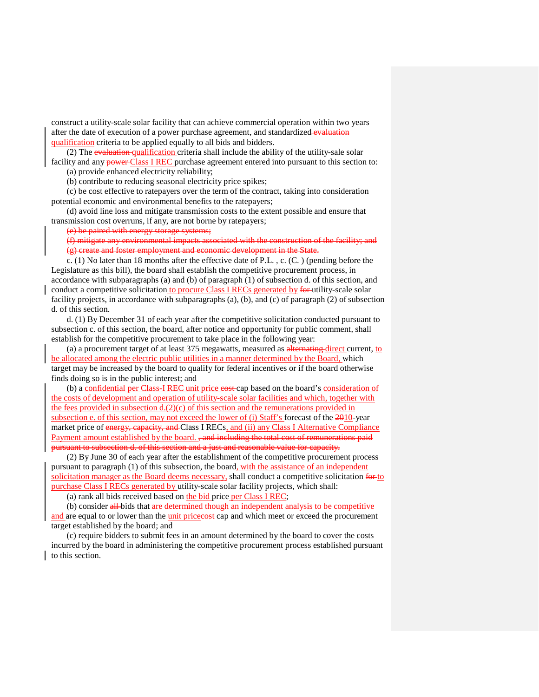construct a utility-scale solar facility that can achieve commercial operation within two years after the date of execution of a power purchase agreement, and standardized evaluation qualification criteria to be applied equally to all bids and bidders.

(2) The evaluation qualification criteria shall include the ability of the utility-sale solar facility and any **power-Class I REC** purchase agreement entered into pursuant to this section to: (a) provide enhanced electricity reliability;

(b) contribute to reducing seasonal electricity price spikes;

(c) be cost effective to ratepayers over the term of the contract, taking into consideration potential economic and environmental benefits to the ratepayers;

(d) avoid line loss and mitigate transmission costs to the extent possible and ensure that transmission cost overruns, if any, are not borne by ratepayers;

(e) be paired with energy storage systems;

(f) mitigate any environmental impacts associated with the construction of the facility; and (g) create and foster employment and economic development in the State.

c. (1) No later than 18 months after the effective date of P.L. , c. (C. ) (pending before the Legislature as this bill), the board shall establish the competitive procurement process, in accordance with subparagraphs (a) and (b) of paragraph (1) of subsection d. of this section, and conduct a competitive solicitation to procure Class I RECs generated by for utility-scale solar facility projects, in accordance with subparagraphs (a), (b), and (c) of paragraph (2) of subsection d. of this section.

d. (1) By December 31 of each year after the competitive solicitation conducted pursuant to subsection c. of this section, the board, after notice and opportunity for public comment, shall establish for the competitive procurement to take place in the following year:

(a) a procurement target of at least  $375$  megawatts, measured as alternating direct current, to be allocated among the electric public utilities in a manner determined by the Board, which target may be increased by the board to qualify for federal incentives or if the board otherwise finds doing so is in the public interest; and

(b) a confidential per Class-I REC unit price cost cap based on the board's consideration of the costs of development and operation of utility-scale solar facilities and which, together with the fees provided in subsection  $d(2)(c)$  of this section and the remunerations provided in subsection e. of this section, may not exceed the lower of (i) Staff's forecast of the 2010-year market price of energy, capacity, and Class I RECs, and (ii) any Class I Alternative Compliance Payment amount established by the board. <del>, and including the total cost of remunerations paid</del> suant to subsection d. of this section and a just and reasonable value for capacity.

(2) By June 30 of each year after the establishment of the competitive procurement process pursuant to paragraph (1) of this subsection, the board, with the assistance of an independent solicitation manager as the Board deems necessary, shall conduct a competitive solicitation for to purchase Class I RECs generated by utility-scale solar facility projects, which shall:

(a) rank all bids received based on the bid price per Class I REC;

(b) consider all-bids that are determined though an independent analysis to be competitive and are equal to or lower than the unit prices cap and which meet or exceed the procurement target established by the board; and

(c) require bidders to submit fees in an amount determined by the board to cover the costs incurred by the board in administering the competitive procurement process established pursuant to this section.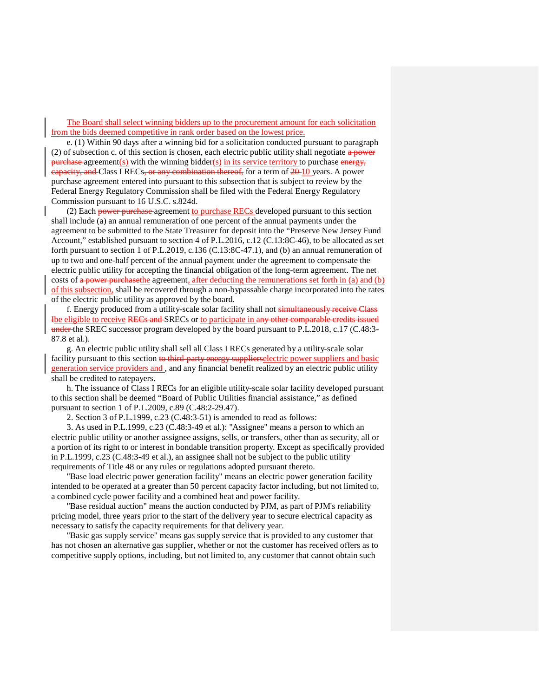The Board shall select winning bidders up to the procurement amount for each solicitation from the bids deemed competitive in rank order based on the lowest price.

e. (1) Within 90 days after a winning bid for a solicitation conducted pursuant to paragraph (2) of subsection c. of this section is chosen, each electric public utility shall negotiate  $\alpha$  power  $\frac{\text{pure} \cdot \text{base}}{\text{superhead}(s)}$  with the winning bidder(s) in its service territory to purchase energy, capacity, and Class I RECs, or any combination thereof, for a term of  $20-10$  years. A power purchase agreement entered into pursuant to this subsection that is subject to review by the Federal Energy Regulatory Commission shall be filed with the Federal Energy Regulatory Commission pursuant to 16 U.S.C. s.824d.

(2) Each power purchase agreement to purchase RECs developed pursuant to this section shall include (a) an annual remuneration of one percent of the annual payments under the agreement to be submitted to the State Treasurer for deposit into the "Preserve New Jersey Fund Account," established pursuant to section 4 of P.L.2016, c.12 (C.13:8C-46), to be allocated as set forth pursuant to section 1 of P.L.2019, c.136 (C.13:8C-47.1), and (b) an annual remuneration of up to two and one-half percent of the annual payment under the agreement to compensate the electric public utility for accepting the financial obligation of the long-term agreement. The net costs of a power purchasethe agreement, after deducting the remunerations set forth in (a) and (b) of this subsection, shall be recovered through a non-bypassable charge incorporated into the rates of the electric public utility as approved by the board.

f. Energy produced from a utility-scale solar facility shall not simultaneously receive Class Ibe eligible to receive RECs and SRECs or to participate in any other comparable credits issued under the SREC successor program developed by the board pursuant to P.L.2018, c.17 (C.48:3-87.8 et al.).

g. An electric public utility shall sell all Class I RECs generated by a utility-scale solar facility pursuant to this section to third-party energy suppliers electric power suppliers and basic generation service providers and , and any financial benefit realized by an electric public utility shall be credited to ratepayers.

h. The issuance of Class I RECs for an eligible utility-scale solar facility developed pursuant to this section shall be deemed "Board of Public Utilities financial assistance," as defined pursuant to section 1 of P.L.2009, c.89 (C.48:2-29.47).

2. Section 3 of P.L.1999, c.23 (C.48:3-51) is amended to read as follows:

3. As used in P.L.1999, c.23 (C.48:3-49 et al.): "Assignee" means a person to which an electric public utility or another assignee assigns, sells, or transfers, other than as security, all or a portion of its right to or interest in bondable transition property. Except as specifically provided in P.L.1999, c.23 (C.48:3-49 et al.), an assignee shall not be subject to the public utility requirements of Title 48 or any rules or regulations adopted pursuant thereto.

"Base load electric power generation facility" means an electric power generation facility intended to be operated at a greater than 50 percent capacity factor including, but not limited to, a combined cycle power facility and a combined heat and power facility.

"Base residual auction" means the auction conducted by PJM, as part of PJM's reliability pricing model, three years prior to the start of the delivery year to secure electrical capacity as necessary to satisfy the capacity requirements for that delivery year.

"Basic gas supply service" means gas supply service that is provided to any customer that has not chosen an alternative gas supplier, whether or not the customer has received offers as to competitive supply options, including, but not limited to, any customer that cannot obtain such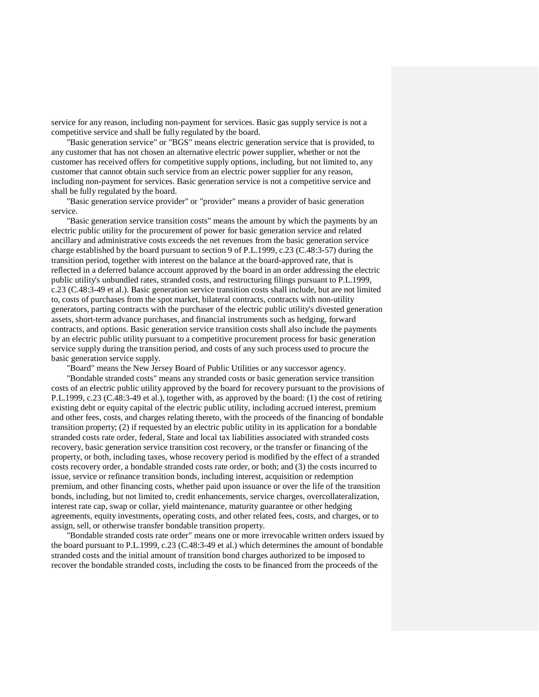service for any reason, including non-payment for services. Basic gas supply service is not a competitive service and shall be fully regulated by the board.

"Basic generation service" or "BGS" means electric generation service that is provided, to any customer that has not chosen an alternative electric power supplier, whether or not the customer has received offers for competitive supply options, including, but not limited to, any customer that cannot obtain such service from an electric power supplier for any reason, including non-payment for services. Basic generation service is not a competitive service and shall be fully regulated by the board.

"Basic generation service provider" or "provider" means a provider of basic generation service.

"Basic generation service transition costs" means the amount by which the payments by an electric public utility for the procurement of power for basic generation service and related ancillary and administrative costs exceeds the net revenues from the basic generation service charge established by the board pursuant to section 9 of P.L.1999, c.23 (C.48:3-57) during the transition period, together with interest on the balance at the board-approved rate, that is reflected in a deferred balance account approved by the board in an order addressing the electric public utility's unbundled rates, stranded costs, and restructuring filings pursuant to P.L.1999, c.23 (C.48:3-49 et al.). Basic generation service transition costs shall include, but are not limited to, costs of purchases from the spot market, bilateral contracts, contracts with non-utility generators, parting contracts with the purchaser of the electric public utility's divested generation assets, short-term advance purchases, and financial instruments such as hedging, forward contracts, and options. Basic generation service transition costs shall also include the payments by an electric public utility pursuant to a competitive procurement process for basic generation service supply during the transition period, and costs of any such process used to procure the basic generation service supply.

"Board" means the New Jersey Board of Public Utilities or any successor agency.

"Bondable stranded costs" means any stranded costs or basic generation service transition costs of an electric public utility approved by the board for recovery pursuant to the provisions of P.L.1999, c.23 (C.48:3-49 et al.), together with, as approved by the board: (1) the cost of retiring existing debt or equity capital of the electric public utility, including accrued interest, premium and other fees, costs, and charges relating thereto, with the proceeds of the financing of bondable transition property; (2) if requested by an electric public utility in its application for a bondable stranded costs rate order, federal, State and local tax liabilities associated with stranded costs recovery, basic generation service transition cost recovery, or the transfer or financing of the property, or both, including taxes, whose recovery period is modified by the effect of a stranded costs recovery order, a bondable stranded costs rate order, or both; and (3) the costs incurred to issue, service or refinance transition bonds, including interest, acquisition or redemption premium, and other financing costs, whether paid upon issuance or over the life of the transition bonds, including, but not limited to, credit enhancements, service charges, overcollateralization, interest rate cap, swap or collar, yield maintenance, maturity guarantee or other hedging agreements, equity investments, operating costs, and other related fees, costs, and charges, or to assign, sell, or otherwise transfer bondable transition property.

"Bondable stranded costs rate order" means one or more irrevocable written orders issued by the board pursuant to P.L.1999, c.23 (C.48:3-49 et al.) which determines the amount of bondable stranded costs and the initial amount of transition bond charges authorized to be imposed to recover the bondable stranded costs, including the costs to be financed from the proceeds of the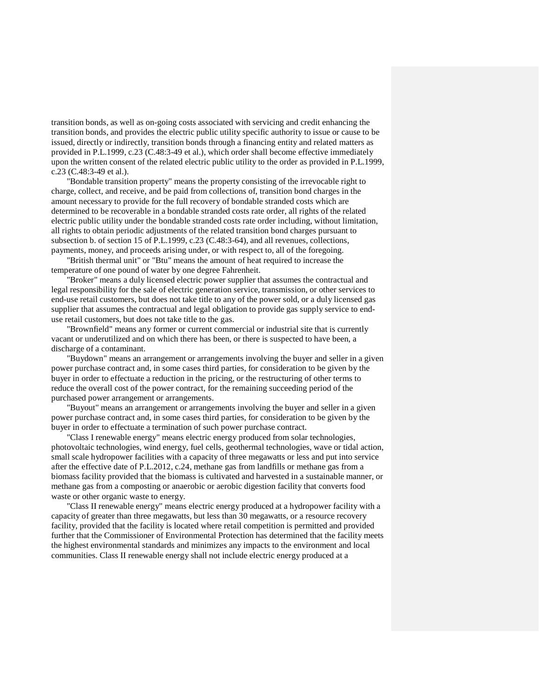transition bonds, as well as on-going costs associated with servicing and credit enhancing the transition bonds, and provides the electric public utility specific authority to issue or cause to be issued, directly or indirectly, transition bonds through a financing entity and related matters as provided in P.L.1999, c.23 (C.48:3-49 et al.), which order shall become effective immediately upon the written consent of the related electric public utility to the order as provided in P.L.1999, c.23 (C.48:3-49 et al.).

"Bondable transition property" means the property consisting of the irrevocable right to charge, collect, and receive, and be paid from collections of, transition bond charges in the amount necessary to provide for the full recovery of bondable stranded costs which are determined to be recoverable in a bondable stranded costs rate order, all rights of the related electric public utility under the bondable stranded costs rate order including, without limitation, all rights to obtain periodic adjustments of the related transition bond charges pursuant to subsection b. of section 15 of P.L.1999, c.23 (C.48:3-64), and all revenues, collections, payments, money, and proceeds arising under, or with respect to, all of the foregoing.

"British thermal unit" or "Btu" means the amount of heat required to increase the temperature of one pound of water by one degree Fahrenheit.

"Broker" means a duly licensed electric power supplier that assumes the contractual and legal responsibility for the sale of electric generation service, transmission, or other services to end-use retail customers, but does not take title to any of the power sold, or a duly licensed gas supplier that assumes the contractual and legal obligation to provide gas supply service to enduse retail customers, but does not take title to the gas.

"Brownfield" means any former or current commercial or industrial site that is currently vacant or underutilized and on which there has been, or there is suspected to have been, a discharge of a contaminant.

"Buydown" means an arrangement or arrangements involving the buyer and seller in a given power purchase contract and, in some cases third parties, for consideration to be given by the buyer in order to effectuate a reduction in the pricing, or the restructuring of other terms to reduce the overall cost of the power contract, for the remaining succeeding period of the purchased power arrangement or arrangements.

"Buyout" means an arrangement or arrangements involving the buyer and seller in a given power purchase contract and, in some cases third parties, for consideration to be given by the buyer in order to effectuate a termination of such power purchase contract.

"Class I renewable energy" means electric energy produced from solar technologies, photovoltaic technologies, wind energy, fuel cells, geothermal technologies, wave or tidal action, small scale hydropower facilities with a capacity of three megawatts or less and put into service after the effective date of P.L.2012, c.24, methane gas from landfills or methane gas from a biomass facility provided that the biomass is cultivated and harvested in a sustainable manner, or methane gas from a composting or anaerobic or aerobic digestion facility that converts food waste or other organic waste to energy.

"Class II renewable energy" means electric energy produced at a hydropower facility with a capacity of greater than three megawatts, but less than 30 megawatts, or a resource recovery facility, provided that the facility is located where retail competition is permitted and provided further that the Commissioner of Environmental Protection has determined that the facility meets the highest environmental standards and minimizes any impacts to the environment and local communities. Class II renewable energy shall not include electric energy produced at a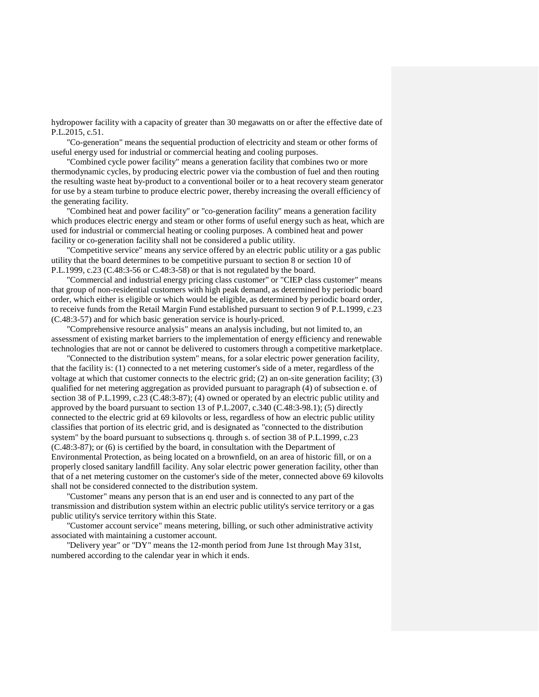hydropower facility with a capacity of greater than 30 megawatts on or after the effective date of P.L.2015, c.51.

"Co-generation" means the sequential production of electricity and steam or other forms of useful energy used for industrial or commercial heating and cooling purposes.

"Combined cycle power facility" means a generation facility that combines two or more thermodynamic cycles, by producing electric power via the combustion of fuel and then routing the resulting waste heat by-product to a conventional boiler or to a heat recovery steam generator for use by a steam turbine to produce electric power, thereby increasing the overall efficiency of the generating facility.

"Combined heat and power facility" or "co-generation facility" means a generation facility which produces electric energy and steam or other forms of useful energy such as heat, which are used for industrial or commercial heating or cooling purposes. A combined heat and power facility or co-generation facility shall not be considered a public utility.

"Competitive service" means any service offered by an electric public utility or a gas public utility that the board determines to be competitive pursuant to section 8 or section 10 of P.L.1999, c.23 (C.48:3-56 or C.48:3-58) or that is not regulated by the board.

"Commercial and industrial energy pricing class customer" or "CIEP class customer" means that group of non-residential customers with high peak demand, as determined by periodic board order, which either is eligible or which would be eligible, as determined by periodic board order, to receive funds from the Retail Margin Fund established pursuant to section 9 of P.L.1999, c.23 (C.48:3-57) and for which basic generation service is hourly-priced.

"Comprehensive resource analysis" means an analysis including, but not limited to, an assessment of existing market barriers to the implementation of energy efficiency and renewable technologies that are not or cannot be delivered to customers through a competitive marketplace.

"Connected to the distribution system" means, for a solar electric power generation facility, that the facility is: (1) connected to a net metering customer's side of a meter, regardless of the voltage at which that customer connects to the electric grid; (2) an on-site generation facility; (3) qualified for net metering aggregation as provided pursuant to paragraph (4) of subsection e. of section 38 of P.L.1999, c.23 (C.48:3-87); (4) owned or operated by an electric public utility and approved by the board pursuant to section 13 of P.L.2007, c.340 (C.48:3-98.1); (5) directly connected to the electric grid at 69 kilovolts or less, regardless of how an electric public utility classifies that portion of its electric grid, and is designated as "connected to the distribution system" by the board pursuant to subsections q. through s. of section 38 of P.L.1999, c.23 (C.48:3-87); or (6) is certified by the board, in consultation with the Department of Environmental Protection, as being located on a brownfield, on an area of historic fill, or on a properly closed sanitary landfill facility. Any solar electric power generation facility, other than that of a net metering customer on the customer's side of the meter, connected above 69 kilovolts shall not be considered connected to the distribution system.

"Customer" means any person that is an end user and is connected to any part of the transmission and distribution system within an electric public utility's service territory or a gas public utility's service territory within this State.

"Customer account service" means metering, billing, or such other administrative activity associated with maintaining a customer account.

"Delivery year" or "DY" means the 12-month period from June 1st through May 31st, numbered according to the calendar year in which it ends.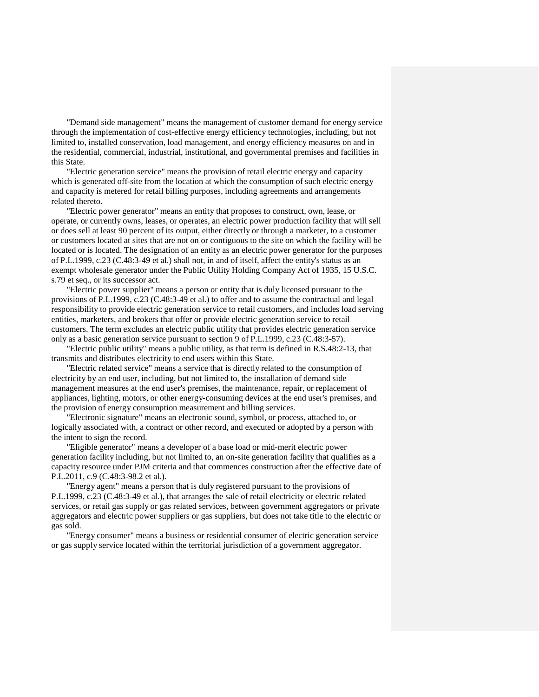"Demand side management" means the management of customer demand for energy service through the implementation of cost-effective energy efficiency technologies, including, but not limited to, installed conservation, load management, and energy efficiency measures on and in the residential, commercial, industrial, institutional, and governmental premises and facilities in this State.

"Electric generation service" means the provision of retail electric energy and capacity which is generated off-site from the location at which the consumption of such electric energy and capacity is metered for retail billing purposes, including agreements and arrangements related thereto.

"Electric power generator" means an entity that proposes to construct, own, lease, or operate, or currently owns, leases, or operates, an electric power production facility that will sell or does sell at least 90 percent of its output, either directly or through a marketer, to a customer or customers located at sites that are not on or contiguous to the site on which the facility will be located or is located. The designation of an entity as an electric power generator for the purposes of P.L.1999, c.23 (C.48:3-49 et al.) shall not, in and of itself, affect the entity's status as an exempt wholesale generator under the Public Utility Holding Company Act of 1935, 15 U.S.C. s.79 et seq., or its successor act.

"Electric power supplier" means a person or entity that is duly licensed pursuant to the provisions of P.L.1999, c.23 (C.48:3-49 et al.) to offer and to assume the contractual and legal responsibility to provide electric generation service to retail customers, and includes load serving entities, marketers, and brokers that offer or provide electric generation service to retail customers. The term excludes an electric public utility that provides electric generation service only as a basic generation service pursuant to section 9 of P.L.1999, c.23 (C.48:3-57).

"Electric public utility" means a public utility, as that term is defined in R.S.48:2-13, that transmits and distributes electricity to end users within this State.

"Electric related service" means a service that is directly related to the consumption of electricity by an end user, including, but not limited to, the installation of demand side management measures at the end user's premises, the maintenance, repair, or replacement of appliances, lighting, motors, or other energy-consuming devices at the end user's premises, and the provision of energy consumption measurement and billing services.

"Electronic signature" means an electronic sound, symbol, or process, attached to, or logically associated with, a contract or other record, and executed or adopted by a person with the intent to sign the record.

"Eligible generator" means a developer of a base load or mid-merit electric power generation facility including, but not limited to, an on-site generation facility that qualifies as a capacity resource under PJM criteria and that commences construction after the effective date of P.L.2011, c.9 (C.48:3-98.2 et al.).

"Energy agent" means a person that is duly registered pursuant to the provisions of P.L.1999, c.23 (C.48:3-49 et al.), that arranges the sale of retail electricity or electric related services, or retail gas supply or gas related services, between government aggregators or private aggregators and electric power suppliers or gas suppliers, but does not take title to the electric or gas sold.

"Energy consumer" means a business or residential consumer of electric generation service or gas supply service located within the territorial jurisdiction of a government aggregator.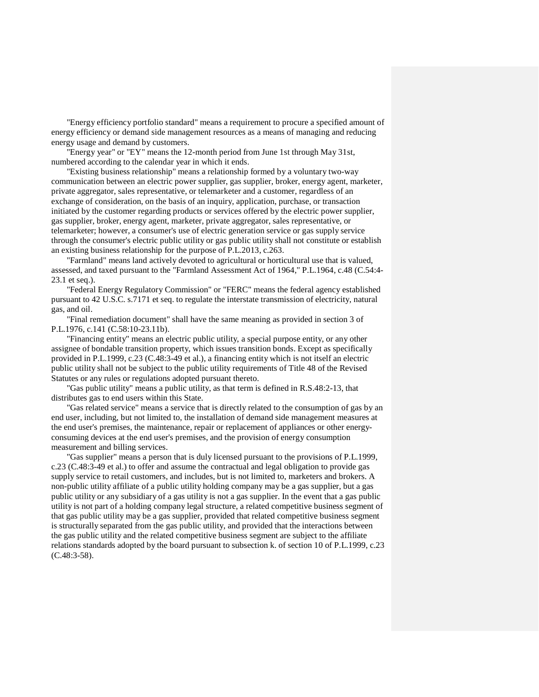"Energy efficiency portfolio standard" means a requirement to procure a specified amount of energy efficiency or demand side management resources as a means of managing and reducing energy usage and demand by customers.

"Energy year" or "EY" means the 12-month period from June 1st through May 31st, numbered according to the calendar year in which it ends.

"Existing business relationship" means a relationship formed by a voluntary two-way communication between an electric power supplier, gas supplier, broker, energy agent, marketer, private aggregator, sales representative, or telemarketer and a customer, regardless of an exchange of consideration, on the basis of an inquiry, application, purchase, or transaction initiated by the customer regarding products or services offered by the electric power supplier, gas supplier, broker, energy agent, marketer, private aggregator, sales representative, or telemarketer; however, a consumer's use of electric generation service or gas supply service through the consumer's electric public utility or gas public utility shall not constitute or establish an existing business relationship for the purpose of P.L.2013, c.263.

"Farmland" means land actively devoted to agricultural or horticultural use that is valued, assessed, and taxed pursuant to the "Farmland Assessment Act of 1964," P.L.1964, c.48 (C.54:4- 23.1 et seq.).

"Federal Energy Regulatory Commission" or "FERC" means the federal agency established pursuant to 42 U.S.C. s.7171 et seq. to regulate the interstate transmission of electricity, natural gas, and oil.

"Final remediation document" shall have the same meaning as provided in section 3 of P.L.1976, c.141 (C.58:10-23.11b).

"Financing entity" means an electric public utility, a special purpose entity, or any other assignee of bondable transition property, which issues transition bonds. Except as specifically provided in P.L.1999, c.23 (C.48:3-49 et al.), a financing entity which is not itself an electric public utility shall not be subject to the public utility requirements of Title 48 of the Revised Statutes or any rules or regulations adopted pursuant thereto.

"Gas public utility" means a public utility, as that term is defined in R.S.48:2-13, that distributes gas to end users within this State.

"Gas related service" means a service that is directly related to the consumption of gas by an end user, including, but not limited to, the installation of demand side management measures at the end user's premises, the maintenance, repair or replacement of appliances or other energyconsuming devices at the end user's premises, and the provision of energy consumption measurement and billing services.

"Gas supplier" means a person that is duly licensed pursuant to the provisions of P.L.1999, c.23 (C.48:3-49 et al.) to offer and assume the contractual and legal obligation to provide gas supply service to retail customers, and includes, but is not limited to, marketers and brokers. A non-public utility affiliate of a public utility holding company may be a gas supplier, but a gas public utility or any subsidiary of a gas utility is not a gas supplier. In the event that a gas public utility is not part of a holding company legal structure, a related competitive business segment of that gas public utility may be a gas supplier, provided that related competitive business segment is structurally separated from the gas public utility, and provided that the interactions between the gas public utility and the related competitive business segment are subject to the affiliate relations standards adopted by the board pursuant to subsection k. of section 10 of P.L.1999, c.23 (C.48:3-58).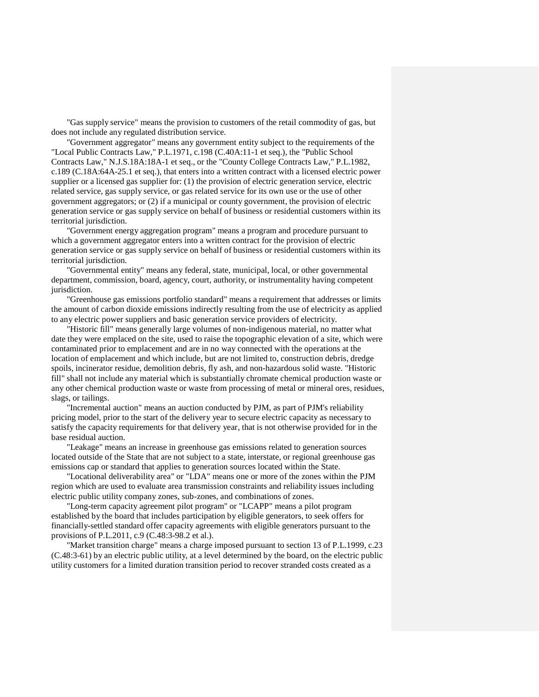"Gas supply service" means the provision to customers of the retail commodity of gas, but does not include any regulated distribution service.

"Government aggregator" means any government entity subject to the requirements of the "Local Public Contracts Law," P.L.1971, c.198 (C.40A:11-1 et seq.), the "Public School Contracts Law," N.J.S.18A:18A-1 et seq., or the "County College Contracts Law," P.L.1982, c.189 (C.18A:64A-25.1 et seq.), that enters into a written contract with a licensed electric power supplier or a licensed gas supplier for: (1) the provision of electric generation service, electric related service, gas supply service, or gas related service for its own use or the use of other government aggregators; or (2) if a municipal or county government, the provision of electric generation service or gas supply service on behalf of business or residential customers within its territorial jurisdiction.

"Government energy aggregation program" means a program and procedure pursuant to which a government aggregator enters into a written contract for the provision of electric generation service or gas supply service on behalf of business or residential customers within its territorial jurisdiction.

"Governmental entity" means any federal, state, municipal, local, or other governmental department, commission, board, agency, court, authority, or instrumentality having competent jurisdiction.

"Greenhouse gas emissions portfolio standard" means a requirement that addresses or limits the amount of carbon dioxide emissions indirectly resulting from the use of electricity as applied to any electric power suppliers and basic generation service providers of electricity.

"Historic fill" means generally large volumes of non-indigenous material, no matter what date they were emplaced on the site, used to raise the topographic elevation of a site, which were contaminated prior to emplacement and are in no way connected with the operations at the location of emplacement and which include, but are not limited to, construction debris, dredge spoils, incinerator residue, demolition debris, fly ash, and non-hazardous solid waste. "Historic fill" shall not include any material which is substantially chromate chemical production waste or any other chemical production waste or waste from processing of metal or mineral ores, residues, slags, or tailings.

"Incremental auction" means an auction conducted by PJM, as part of PJM's reliability pricing model, prior to the start of the delivery year to secure electric capacity as necessary to satisfy the capacity requirements for that delivery year, that is not otherwise provided for in the base residual auction.

"Leakage" means an increase in greenhouse gas emissions related to generation sources located outside of the State that are not subject to a state, interstate, or regional greenhouse gas emissions cap or standard that applies to generation sources located within the State.

"Locational deliverability area" or "LDA" means one or more of the zones within the PJM region which are used to evaluate area transmission constraints and reliability issues including electric public utility company zones, sub-zones, and combinations of zones.

"Long-term capacity agreement pilot program" or "LCAPP" means a pilot program established by the board that includes participation by eligible generators, to seek offers for financially-settled standard offer capacity agreements with eligible generators pursuant to the provisions of P.L.2011, c.9 (C.48:3-98.2 et al.).

"Market transition charge" means a charge imposed pursuant to section 13 of P.L.1999, c.23 (C.48:3-61) by an electric public utility, at a level determined by the board, on the electric public utility customers for a limited duration transition period to recover stranded costs created as a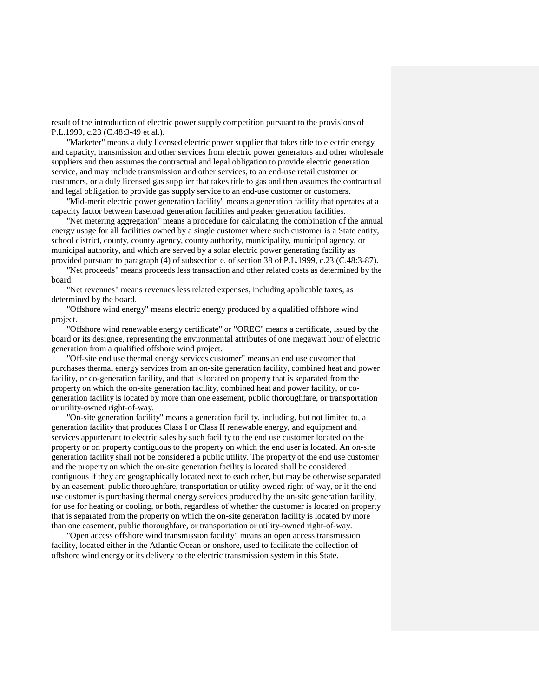result of the introduction of electric power supply competition pursuant to the provisions of P.L.1999, c.23 (C.48:3-49 et al.).

"Marketer" means a duly licensed electric power supplier that takes title to electric energy and capacity, transmission and other services from electric power generators and other wholesale suppliers and then assumes the contractual and legal obligation to provide electric generation service, and may include transmission and other services, to an end-use retail customer or customers, or a duly licensed gas supplier that takes title to gas and then assumes the contractual and legal obligation to provide gas supply service to an end-use customer or customers.

"Mid-merit electric power generation facility" means a generation facility that operates at a capacity factor between baseload generation facilities and peaker generation facilities.

"Net metering aggregation" means a procedure for calculating the combination of the annual energy usage for all facilities owned by a single customer where such customer is a State entity, school district, county, county agency, county authority, municipality, municipal agency, or municipal authority, and which are served by a solar electric power generating facility as provided pursuant to paragraph (4) of subsection e. of section 38 of P.L.1999, c.23 (C.48:3-87).

"Net proceeds" means proceeds less transaction and other related costs as determined by the board.

"Net revenues" means revenues less related expenses, including applicable taxes, as determined by the board.

"Offshore wind energy" means electric energy produced by a qualified offshore wind project.

"Offshore wind renewable energy certificate" or "OREC" means a certificate, issued by the board or its designee, representing the environmental attributes of one megawatt hour of electric generation from a qualified offshore wind project.

"Off-site end use thermal energy services customer" means an end use customer that purchases thermal energy services from an on-site generation facility, combined heat and power facility, or co-generation facility, and that is located on property that is separated from the property on which the on-site generation facility, combined heat and power facility, or cogeneration facility is located by more than one easement, public thoroughfare, or transportation or utility-owned right-of-way.

"On-site generation facility" means a generation facility, including, but not limited to, a generation facility that produces Class I or Class II renewable energy, and equipment and services appurtenant to electric sales by such facility to the end use customer located on the property or on property contiguous to the property on which the end user is located. An on-site generation facility shall not be considered a public utility. The property of the end use customer and the property on which the on-site generation facility is located shall be considered contiguous if they are geographically located next to each other, but may be otherwise separated by an easement, public thoroughfare, transportation or utility-owned right-of-way, or if the end use customer is purchasing thermal energy services produced by the on-site generation facility, for use for heating or cooling, or both, regardless of whether the customer is located on property that is separated from the property on which the on-site generation facility is located by more than one easement, public thoroughfare, or transportation or utility-owned right-of-way.

"Open access offshore wind transmission facility" means an open access transmission facility, located either in the Atlantic Ocean or onshore, used to facilitate the collection of offshore wind energy or its delivery to the electric transmission system in this State.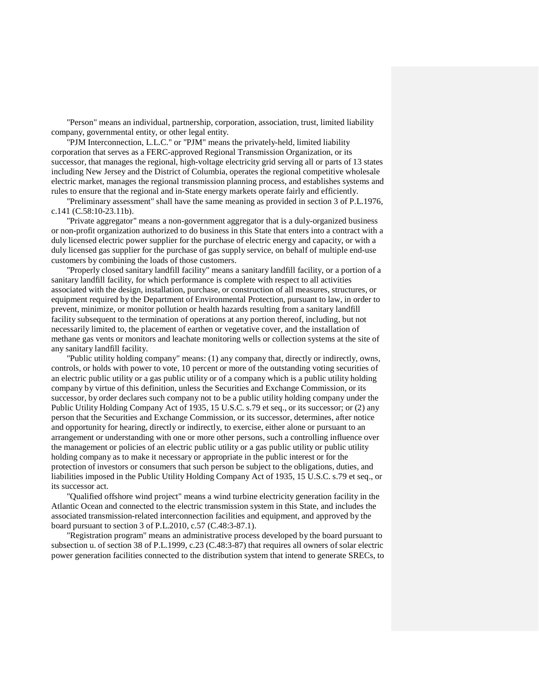"Person" means an individual, partnership, corporation, association, trust, limited liability company, governmental entity, or other legal entity.

"PJM Interconnection, L.L.C." or "PJM" means the privately-held, limited liability corporation that serves as a FERC-approved Regional Transmission Organization, or its successor, that manages the regional, high-voltage electricity grid serving all or parts of 13 states including New Jersey and the District of Columbia, operates the regional competitive wholesale electric market, manages the regional transmission planning process, and establishes systems and rules to ensure that the regional and in-State energy markets operate fairly and efficiently.

"Preliminary assessment" shall have the same meaning as provided in section 3 of P.L.1976, c.141 (C.58:10-23.11b).

"Private aggregator" means a non-government aggregator that is a duly-organized business or non-profit organization authorized to do business in this State that enters into a contract with a duly licensed electric power supplier for the purchase of electric energy and capacity, or with a duly licensed gas supplier for the purchase of gas supply service, on behalf of multiple end-use customers by combining the loads of those customers.

"Properly closed sanitary landfill facility" means a sanitary landfill facility, or a portion of a sanitary landfill facility, for which performance is complete with respect to all activities associated with the design, installation, purchase, or construction of all measures, structures, or equipment required by the Department of Environmental Protection, pursuant to law, in order to prevent, minimize, or monitor pollution or health hazards resulting from a sanitary landfill facility subsequent to the termination of operations at any portion thereof, including, but not necessarily limited to, the placement of earthen or vegetative cover, and the installation of methane gas vents or monitors and leachate monitoring wells or collection systems at the site of any sanitary landfill facility.

"Public utility holding company" means: (1) any company that, directly or indirectly, owns, controls, or holds with power to vote, 10 percent or more of the outstanding voting securities of an electric public utility or a gas public utility or of a company which is a public utility holding company by virtue of this definition, unless the Securities and Exchange Commission, or its successor, by order declares such company not to be a public utility holding company under the Public Utility Holding Company Act of 1935, 15 U.S.C. s.79 et seq., or its successor; or (2) any person that the Securities and Exchange Commission, or its successor, determines, after notice and opportunity for hearing, directly or indirectly, to exercise, either alone or pursuant to an arrangement or understanding with one or more other persons, such a controlling influence over the management or policies of an electric public utility or a gas public utility or public utility holding company as to make it necessary or appropriate in the public interest or for the protection of investors or consumers that such person be subject to the obligations, duties, and liabilities imposed in the Public Utility Holding Company Act of 1935, 15 U.S.C. s.79 et seq., or its successor act.

"Qualified offshore wind project" means a wind turbine electricity generation facility in the Atlantic Ocean and connected to the electric transmission system in this State, and includes the associated transmission-related interconnection facilities and equipment, and approved by the board pursuant to section 3 of P.L.2010, c.57 (C.48:3-87.1).

"Registration program" means an administrative process developed by the board pursuant to subsection u. of section 38 of P.L.1999, c.23 (C.48:3-87) that requires all owners of solar electric power generation facilities connected to the distribution system that intend to generate SRECs, to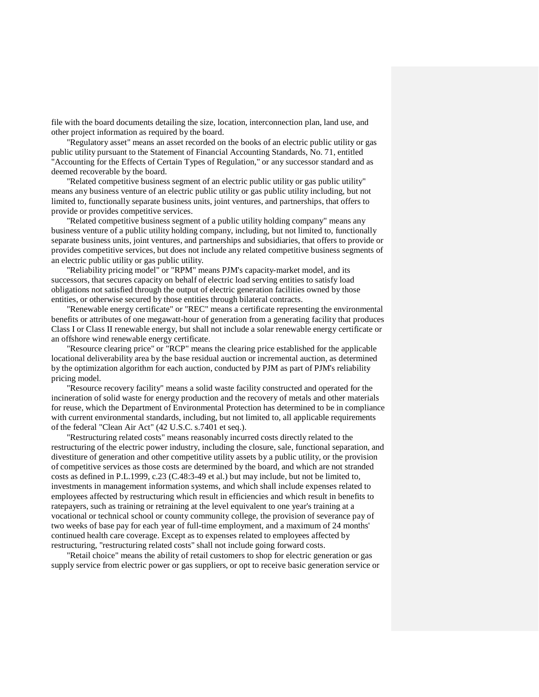file with the board documents detailing the size, location, interconnection plan, land use, and other project information as required by the board.

"Regulatory asset" means an asset recorded on the books of an electric public utility or gas public utility pursuant to the Statement of Financial Accounting Standards, No. 71, entitled "Accounting for the Effects of Certain Types of Regulation," or any successor standard and as deemed recoverable by the board.

"Related competitive business segment of an electric public utility or gas public utility" means any business venture of an electric public utility or gas public utility including, but not limited to, functionally separate business units, joint ventures, and partnerships, that offers to provide or provides competitive services.

"Related competitive business segment of a public utility holding company" means any business venture of a public utility holding company, including, but not limited to, functionally separate business units, joint ventures, and partnerships and subsidiaries, that offers to provide or provides competitive services, but does not include any related competitive business segments of an electric public utility or gas public utility.

"Reliability pricing model" or "RPM" means PJM's capacity-market model, and its successors, that secures capacity on behalf of electric load serving entities to satisfy load obligations not satisfied through the output of electric generation facilities owned by those entities, or otherwise secured by those entities through bilateral contracts.

"Renewable energy certificate" or "REC" means a certificate representing the environmental benefits or attributes of one megawatt-hour of generation from a generating facility that produces Class I or Class II renewable energy, but shall not include a solar renewable energy certificate or an offshore wind renewable energy certificate.

"Resource clearing price" or "RCP" means the clearing price established for the applicable locational deliverability area by the base residual auction or incremental auction, as determined by the optimization algorithm for each auction, conducted by PJM as part of PJM's reliability pricing model.

"Resource recovery facility" means a solid waste facility constructed and operated for the incineration of solid waste for energy production and the recovery of metals and other materials for reuse, which the Department of Environmental Protection has determined to be in compliance with current environmental standards, including, but not limited to, all applicable requirements of the federal "Clean Air Act" (42 U.S.C. s.7401 et seq.).

"Restructuring related costs" means reasonably incurred costs directly related to the restructuring of the electric power industry, including the closure, sale, functional separation, and divestiture of generation and other competitive utility assets by a public utility, or the provision of competitive services as those costs are determined by the board, and which are not stranded costs as defined in P.L.1999, c.23 (C.48:3-49 et al.) but may include, but not be limited to, investments in management information systems, and which shall include expenses related to employees affected by restructuring which result in efficiencies and which result in benefits to ratepayers, such as training or retraining at the level equivalent to one year's training at a vocational or technical school or county community college, the provision of severance pay of two weeks of base pay for each year of full-time employment, and a maximum of 24 months' continued health care coverage. Except as to expenses related to employees affected by restructuring, "restructuring related costs" shall not include going forward costs.

"Retail choice" means the ability of retail customers to shop for electric generation or gas supply service from electric power or gas suppliers, or opt to receive basic generation service or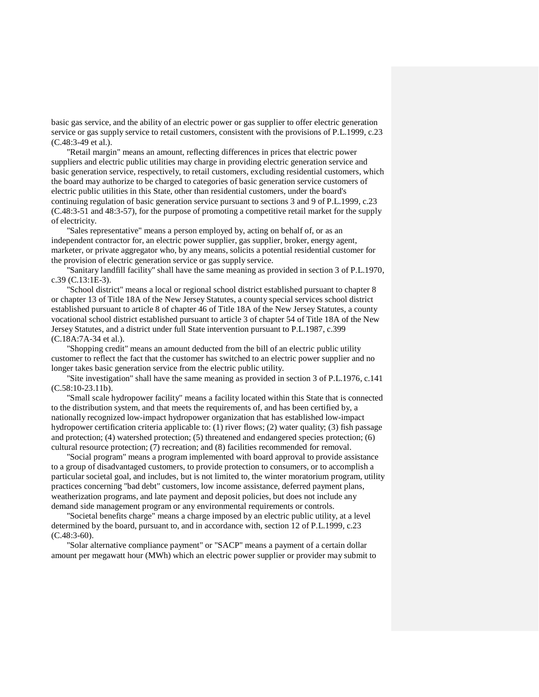basic gas service, and the ability of an electric power or gas supplier to offer electric generation service or gas supply service to retail customers, consistent with the provisions of P.L.1999, c.23 (C.48:3-49 et al.).

"Retail margin" means an amount, reflecting differences in prices that electric power suppliers and electric public utilities may charge in providing electric generation service and basic generation service, respectively, to retail customers, excluding residential customers, which the board may authorize to be charged to categories of basic generation service customers of electric public utilities in this State, other than residential customers, under the board's continuing regulation of basic generation service pursuant to sections 3 and 9 of P.L.1999, c.23 (C.48:3-51 and 48:3-57), for the purpose of promoting a competitive retail market for the supply of electricity.

"Sales representative" means a person employed by, acting on behalf of, or as an independent contractor for, an electric power supplier, gas supplier, broker, energy agent, marketer, or private aggregator who, by any means, solicits a potential residential customer for the provision of electric generation service or gas supply service.

"Sanitary landfill facility" shall have the same meaning as provided in section 3 of P.L.1970, c.39 (C.13:1E-3).

"School district" means a local or regional school district established pursuant to chapter 8 or chapter 13 of Title 18A of the New Jersey Statutes, a county special services school district established pursuant to article 8 of chapter 46 of Title 18A of the New Jersey Statutes, a county vocational school district established pursuant to article 3 of chapter 54 of Title 18A of the New Jersey Statutes, and a district under full State intervention pursuant to P.L.1987, c.399 (C.18A:7A-34 et al.).

"Shopping credit" means an amount deducted from the bill of an electric public utility customer to reflect the fact that the customer has switched to an electric power supplier and no longer takes basic generation service from the electric public utility.

"Site investigation" shall have the same meaning as provided in section 3 of P.L.1976, c.141 (C.58:10-23.11b).

"Small scale hydropower facility" means a facility located within this State that is connected to the distribution system, and that meets the requirements of, and has been certified by, a nationally recognized low-impact hydropower organization that has established low-impact hydropower certification criteria applicable to: (1) river flows; (2) water quality; (3) fish passage and protection; (4) watershed protection; (5) threatened and endangered species protection; (6) cultural resource protection; (7) recreation; and (8) facilities recommended for removal.

"Social program" means a program implemented with board approval to provide assistance to a group of disadvantaged customers, to provide protection to consumers, or to accomplish a particular societal goal, and includes, but is not limited to, the winter moratorium program, utility practices concerning "bad debt" customers, low income assistance, deferred payment plans, weatherization programs, and late payment and deposit policies, but does not include any demand side management program or any environmental requirements or controls.

"Societal benefits charge" means a charge imposed by an electric public utility, at a level determined by the board, pursuant to, and in accordance with, section 12 of P.L.1999, c.23 (C.48:3-60).

"Solar alternative compliance payment" or "SACP" means a payment of a certain dollar amount per megawatt hour (MWh) which an electric power supplier or provider may submit to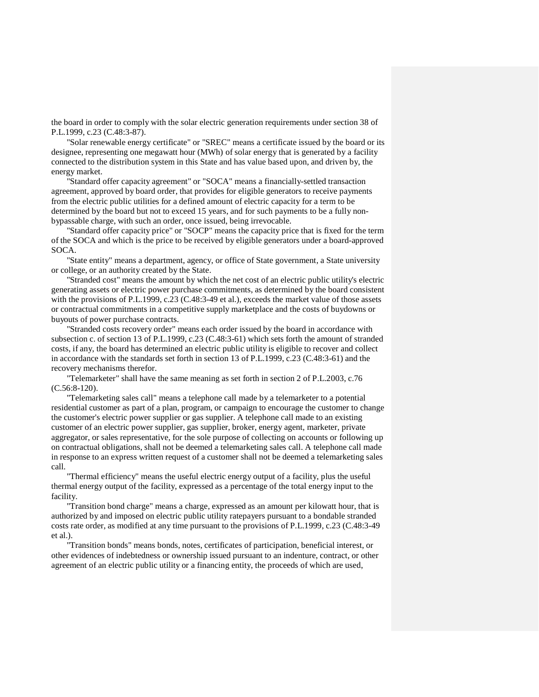the board in order to comply with the solar electric generation requirements under section 38 of P.L.1999, c.23 (C.48:3-87).

"Solar renewable energy certificate" or "SREC" means a certificate issued by the board or its designee, representing one megawatt hour (MWh) of solar energy that is generated by a facility connected to the distribution system in this State and has value based upon, and driven by, the energy market.

"Standard offer capacity agreement" or "SOCA" means a financially-settled transaction agreement, approved by board order, that provides for eligible generators to receive payments from the electric public utilities for a defined amount of electric capacity for a term to be determined by the board but not to exceed 15 years, and for such payments to be a fully nonbypassable charge, with such an order, once issued, being irrevocable.

"Standard offer capacity price" or "SOCP" means the capacity price that is fixed for the term of the SOCA and which is the price to be received by eligible generators under a board-approved SOCA.

"State entity" means a department, agency, or office of State government, a State university or college, or an authority created by the State.

"Stranded cost" means the amount by which the net cost of an electric public utility's electric generating assets or electric power purchase commitments, as determined by the board consistent with the provisions of P.L.1999, c.23 (C.48:3-49 et al.), exceeds the market value of those assets or contractual commitments in a competitive supply marketplace and the costs of buydowns or buyouts of power purchase contracts.

"Stranded costs recovery order" means each order issued by the board in accordance with subsection c. of section 13 of P.L.1999, c.23 (C.48:3-61) which sets forth the amount of stranded costs, if any, the board has determined an electric public utility is eligible to recover and collect in accordance with the standards set forth in section 13 of P.L.1999, c.23 (C.48:3-61) and the recovery mechanisms therefor.

"Telemarketer" shall have the same meaning as set forth in section 2 of P.L.2003, c.76 (C.56:8-120).

"Telemarketing sales call" means a telephone call made by a telemarketer to a potential residential customer as part of a plan, program, or campaign to encourage the customer to change the customer's electric power supplier or gas supplier. A telephone call made to an existing customer of an electric power supplier, gas supplier, broker, energy agent, marketer, private aggregator, or sales representative, for the sole purpose of collecting on accounts or following up on contractual obligations, shall not be deemed a telemarketing sales call. A telephone call made in response to an express written request of a customer shall not be deemed a telemarketing sales call.

"Thermal efficiency" means the useful electric energy output of a facility, plus the useful thermal energy output of the facility, expressed as a percentage of the total energy input to the facility.

"Transition bond charge" means a charge, expressed as an amount per kilowatt hour, that is authorized by and imposed on electric public utility ratepayers pursuant to a bondable stranded costs rate order, as modified at any time pursuant to the provisions of P.L.1999, c.23 (C.48:3-49 et al.).

"Transition bonds" means bonds, notes, certificates of participation, beneficial interest, or other evidences of indebtedness or ownership issued pursuant to an indenture, contract, or other agreement of an electric public utility or a financing entity, the proceeds of which are used,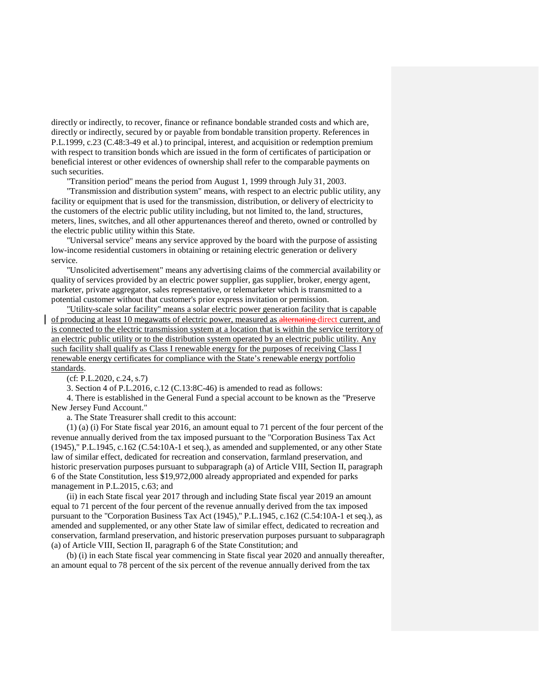directly or indirectly, to recover, finance or refinance bondable stranded costs and which are, directly or indirectly, secured by or payable from bondable transition property. References in P.L.1999, c.23 (C.48:3-49 et al.) to principal, interest, and acquisition or redemption premium with respect to transition bonds which are issued in the form of certificates of participation or beneficial interest or other evidences of ownership shall refer to the comparable payments on such securities.

"Transition period" means the period from August 1, 1999 through July 31, 2003.

"Transmission and distribution system" means, with respect to an electric public utility, any facility or equipment that is used for the transmission, distribution, or delivery of electricity to the customers of the electric public utility including, but not limited to, the land, structures, meters, lines, switches, and all other appurtenances thereof and thereto, owned or controlled by the electric public utility within this State.

"Universal service" means any service approved by the board with the purpose of assisting low-income residential customers in obtaining or retaining electric generation or delivery service.

"Unsolicited advertisement" means any advertising claims of the commercial availability or quality of services provided by an electric power supplier, gas supplier, broker, energy agent, marketer, private aggregator, sales representative, or telemarketer which is transmitted to a potential customer without that customer's prior express invitation or permission.

"Utility-scale solar facility" means a solar electric power generation facility that is capable of producing at least 10 megawatts of electric power, measured as alternating direct current, and is connected to the electric transmission system at a location that is within the service territory of an electric public utility or to the distribution system operated by an electric public utility. Any such facility shall qualify as Class I renewable energy for the purposes of receiving Class I renewable energy certificates for compliance with the State's renewable energy portfolio standards.

(cf: P.L.2020, c.24, s.7)

3. Section 4 of P.L.2016, c.12 (C.13:8C-46) is amended to read as follows:

4. There is established in the General Fund a special account to be known as the "Preserve New Jersey Fund Account."

a. The State Treasurer shall credit to this account:

(1) (a) (i) For State fiscal year 2016, an amount equal to 71 percent of the four percent of the revenue annually derived from the tax imposed pursuant to the "Corporation Business Tax Act (1945)," P.L.1945, c.162 (C.54:10A-1 et seq.), as amended and supplemented, or any other State law of similar effect, dedicated for recreation and conservation, farmland preservation, and historic preservation purposes pursuant to subparagraph (a) of Article VIII, Section II, paragraph 6 of the State Constitution, less \$19,972,000 already appropriated and expended for parks management in P.L.2015, c.63; and

(ii) in each State fiscal year 2017 through and including State fiscal year 2019 an amount equal to 71 percent of the four percent of the revenue annually derived from the tax imposed pursuant to the "Corporation Business Tax Act (1945)," P.L.1945, c.162 (C.54:10A-1 et seq.), as amended and supplemented, or any other State law of similar effect, dedicated to recreation and conservation, farmland preservation, and historic preservation purposes pursuant to subparagraph (a) of Article VIII, Section II, paragraph 6 of the State Constitution; and

(b) (i) in each State fiscal year commencing in State fiscal year 2020 and annually thereafter, an amount equal to 78 percent of the six percent of the revenue annually derived from the tax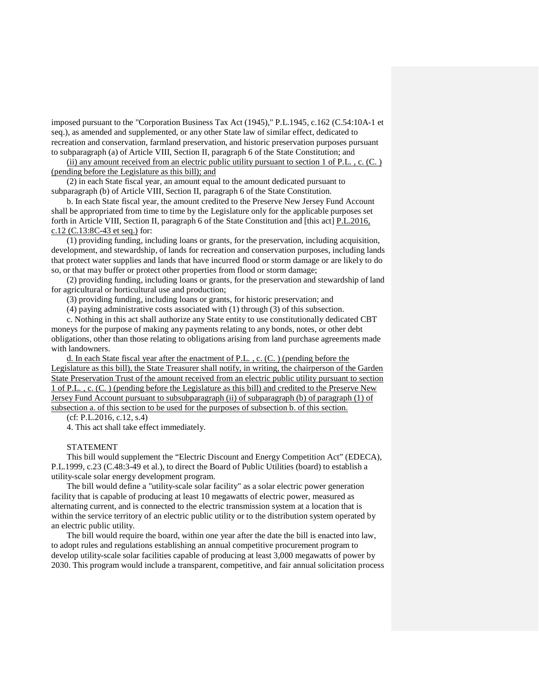imposed pursuant to the "Corporation Business Tax Act (1945)," P.L.1945, c.162 (C.54:10A-1 et seq.), as amended and supplemented, or any other State law of similar effect, dedicated to recreation and conservation, farmland preservation, and historic preservation purposes pursuant to subparagraph (a) of Article VIII, Section II, paragraph 6 of the State Constitution; and

(ii) any amount received from an electric public utility pursuant to section 1 of P.L. , c. (C. ) (pending before the Legislature as this bill); and

(2) in each State fiscal year, an amount equal to the amount dedicated pursuant to subparagraph (b) of Article VIII, Section II, paragraph 6 of the State Constitution.

b. In each State fiscal year, the amount credited to the Preserve New Jersey Fund Account shall be appropriated from time to time by the Legislature only for the applicable purposes set forth in Article VIII, Section II, paragraph 6 of the State Constitution and [this act] P.L.2016, c.12 (C.13:8C-43 et seq.) for:

(1) providing funding, including loans or grants, for the preservation, including acquisition, development, and stewardship, of lands for recreation and conservation purposes, including lands that protect water supplies and lands that have incurred flood or storm damage or are likely to do so, or that may buffer or protect other properties from flood or storm damage;

(2) providing funding, including loans or grants, for the preservation and stewardship of land for agricultural or horticultural use and production;

(3) providing funding, including loans or grants, for historic preservation; and

(4) paying administrative costs associated with (1) through (3) of this subsection.

c. Nothing in this act shall authorize any State entity to use constitutionally dedicated CBT moneys for the purpose of making any payments relating to any bonds, notes, or other debt obligations, other than those relating to obligations arising from land purchase agreements made with landowners.

d. In each State fiscal year after the enactment of P.L. , c. (C. ) (pending before the Legislature as this bill), the State Treasurer shall notify, in writing, the chairperson of the Garden State Preservation Trust of the amount received from an electric public utility pursuant to section 1 of P.L. , c. (C. ) (pending before the Legislature as this bill) and credited to the Preserve New Jersey Fund Account pursuant to subsubparagraph (ii) of subparagraph (b) of paragraph (1) of subsection a. of this section to be used for the purposes of subsection b. of this section.

(cf: P.L.2016, c.12, s.4)

4. This act shall take effect immediately.

## STATEMENT

This bill would supplement the "Electric Discount and Energy Competition Act" (EDECA), P.L.1999, c.23 (C.48:3-49 et al.), to direct the Board of Public Utilities (board) to establish a utility-scale solar energy development program.

The bill would define a "utility-scale solar facility" as a solar electric power generation facility that is capable of producing at least 10 megawatts of electric power, measured as alternating current, and is connected to the electric transmission system at a location that is within the service territory of an electric public utility or to the distribution system operated by an electric public utility.

The bill would require the board, within one year after the date the bill is enacted into law, to adopt rules and regulations establishing an annual competitive procurement program to develop utility-scale solar facilities capable of producing at least 3,000 megawatts of power by 2030. This program would include a transparent, competitive, and fair annual solicitation process